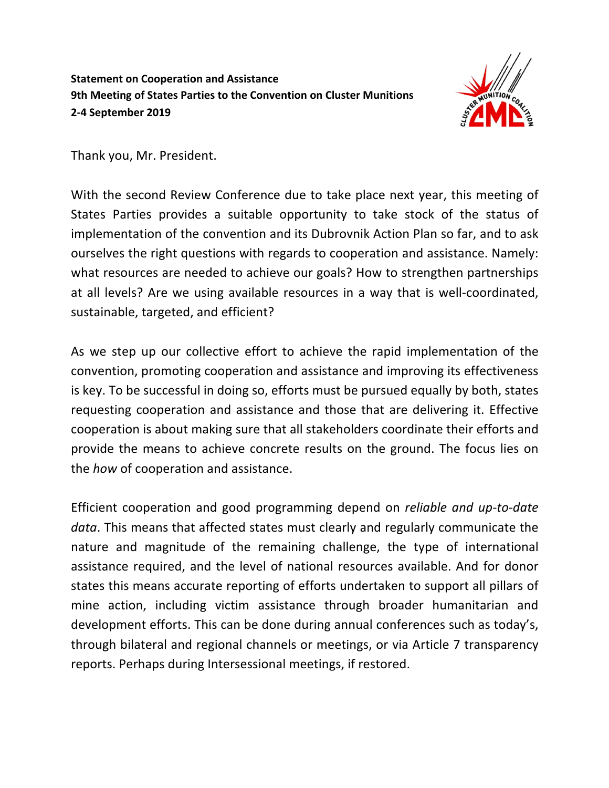## **Statement on Cooperation and Assistance 9th Meeting of States Parties to the Convention on Cluster Munitions 2-4 September 2019**



Thank you, Mr. President.

With the second Review Conference due to take place next year, this meeting of States Parties provides a suitable opportunity to take stock of the status of implementation of the convention and its Dubrovnik Action Plan so far, and to ask ourselves the right questions with regards to cooperation and assistance. Namely: what resources are needed to achieve our goals? How to strengthen partnerships at all levels? Are we using available resources in a way that is well-coordinated, sustainable, targeted, and efficient?

As we step up our collective effort to achieve the rapid implementation of the convention, promoting cooperation and assistance and improving its effectiveness is key. To be successful in doing so, efforts must be pursued equally by both, states requesting cooperation and assistance and those that are delivering it. Effective cooperation is about making sure that all stakeholders coordinate their efforts and provide the means to achieve concrete results on the ground. The focus lies on the *how* of cooperation and assistance.

Efficient cooperation and good programming depend on *reliable and up-to-date data*. This means that affected states must clearly and regularly communicate the nature and magnitude of the remaining challenge, the type of international assistance required, and the level of national resources available. And for donor states this means accurate reporting of efforts undertaken to support all pillars of mine action, including victim assistance through broader humanitarian and development efforts. This can be done during annual conferences such as today's, through bilateral and regional channels or meetings, or via Article 7 transparency reports. Perhaps during Intersessional meetings, if restored.